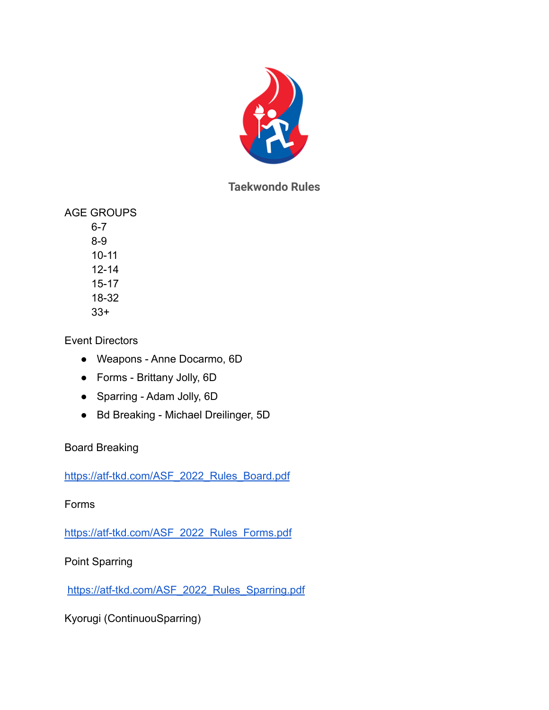

# **Taekwondo Rules**

AGE GROUPS

6-7 8-9 10-11 12-14 15-17 18-32 33+

Event Directors

- Weapons Anne Docarmo, 6D
- Forms Brittany Jolly, 6D
- Sparring Adam Jolly, 6D
- Bd Breaking Michael Dreilinger, 5D

### Board Breaking

[https://atf-tkd.com/ASF\\_2022\\_Rules\\_Board.pdf](https://atf-tkd.com/ASF_2022_Rules_Board.pdf)

Forms

[https://atf-tkd.com/ASF\\_2022\\_Rules\\_Forms.pdf](https://atf-tkd.com/ASF_2022_Rules_Forms.pdf)

Point Sparring

[https://atf-tkd.com/ASF\\_2022\\_Rules\\_Sparring.pdf](https://atf-tkd.com/ASF_2022_Rules_Sparring.pdf)

Kyorugi (ContinuouSparring)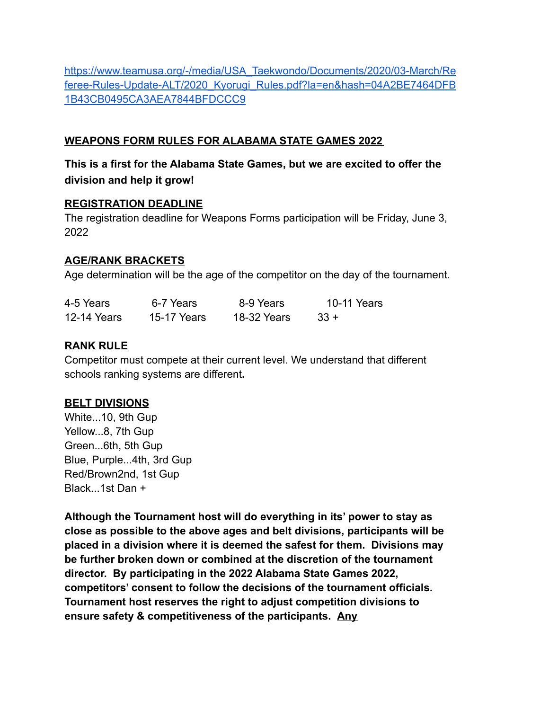[https://www.teamusa.org/-/media/USA\\_Taekwondo/Documents/2020/03-March/Re](https://www.teamusa.org/-/media/USA_Taekwondo/Documents/2020/03-March/Referee-Rules-Update-ALT/2020_Kyorugi_Rules.pdf?la=en&hash=04A2BE7464DFB1B43CB0495CA3AEA7844BFDCCC9) [feree-Rules-Update-ALT/2020\\_Kyorugi\\_Rules.pdf?la=en&hash=04A2BE7464DFB](https://www.teamusa.org/-/media/USA_Taekwondo/Documents/2020/03-March/Referee-Rules-Update-ALT/2020_Kyorugi_Rules.pdf?la=en&hash=04A2BE7464DFB1B43CB0495CA3AEA7844BFDCCC9) [1B43CB0495CA3AEA7844BFDCCC9](https://www.teamusa.org/-/media/USA_Taekwondo/Documents/2020/03-March/Referee-Rules-Update-ALT/2020_Kyorugi_Rules.pdf?la=en&hash=04A2BE7464DFB1B43CB0495CA3AEA7844BFDCCC9)

#### **WEAPONS FORM RULES FOR ALABAMA STATE GAMES 2022**

**This is a first for the Alabama State Games, but we are excited to offer the division and help it grow!**

#### **REGISTRATION DEADLINE**

The registration deadline for Weapons Forms participation will be Friday, June 3, 2022

#### **AGE/RANK BRACKETS**

Age determination will be the age of the competitor on the day of the tournament.

| 4-5 Years          | 6-7 Years   | 8-9 Years   | 10-11 Years |
|--------------------|-------------|-------------|-------------|
| <b>12-14 Years</b> | 15-17 Years | 18-32 Years | $33 +$      |

#### **RANK RULE**

Competitor must compete at their current level. We understand that different schools ranking systems are different**.**

#### **BELT DIVISIONS**

White...10, 9th Gup Yellow...8, 7th Gup Green...6th, 5th Gup Blue, Purple...4th, 3rd Gup Red/Brown2nd, 1st Gup Black...1st Dan +

**Although the Tournament host will do everything in its' power to stay as close as possible to the above ages and belt divisions, participants will be placed in a division where it is deemed the safest for them. Divisions may be further broken down or combined at the discretion of the tournament director. By participating in the 2022 Alabama State Games 2022, competitors' consent to follow the decisions of the tournament officials. Tournament host reserves the right to adjust competition divisions to ensure safety & competitiveness of the participants. Any**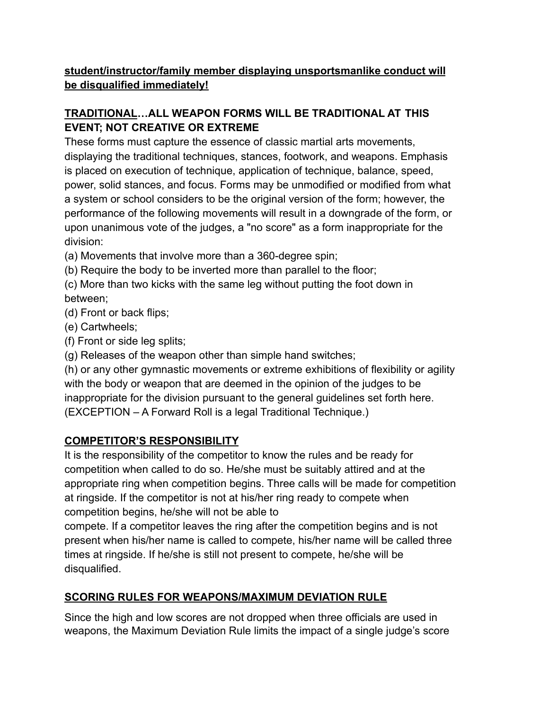### **student/instructor/family member displaying unsportsmanlike conduct will be disqualified immediately!**

# **TRADITIONAL…ALL WEAPON FORMS WILL BE TRADITIONAL AT THIS EVENT; NOT CREATIVE OR EXTREME**

These forms must capture the essence of classic martial arts movements, displaying the traditional techniques, stances, footwork, and weapons. Emphasis is placed on execution of technique, application of technique, balance, speed, power, solid stances, and focus. Forms may be unmodified or modified from what a system or school considers to be the original version of the form; however, the performance of the following movements will result in a downgrade of the form, or upon unanimous vote of the judges, a "no score" as a form inappropriate for the division:

(a) Movements that involve more than a 360-degree spin;

(b) Require the body to be inverted more than parallel to the floor;

(c) More than two kicks with the same leg without putting the foot down in between;

(d) Front or back flips;

- (e) Cartwheels;
- (f) Front or side leg splits;
- (g) Releases of the weapon other than simple hand switches;

(h) or any other gymnastic movements or extreme exhibitions of flexibility or agility with the body or weapon that are deemed in the opinion of the judges to be inappropriate for the division pursuant to the general guidelines set forth here. (EXCEPTION – A Forward Roll is a legal Traditional Technique.)

### **COMPETITOR'S RESPONSIBILITY**

It is the responsibility of the competitor to know the rules and be ready for competition when called to do so. He/she must be suitably attired and at the appropriate ring when competition begins. Three calls will be made for competition at ringside. If the competitor is not at his/her ring ready to compete when competition begins, he/she will not be able to

compete. If a competitor leaves the ring after the competition begins and is not present when his/her name is called to compete, his/her name will be called three times at ringside. If he/she is still not present to compete, he/she will be disqualified.

# **SCORING RULES FOR WEAPONS/MAXIMUM DEVIATION RULE**

Since the high and low scores are not dropped when three officials are used in weapons, the Maximum Deviation Rule limits the impact of a single judge's score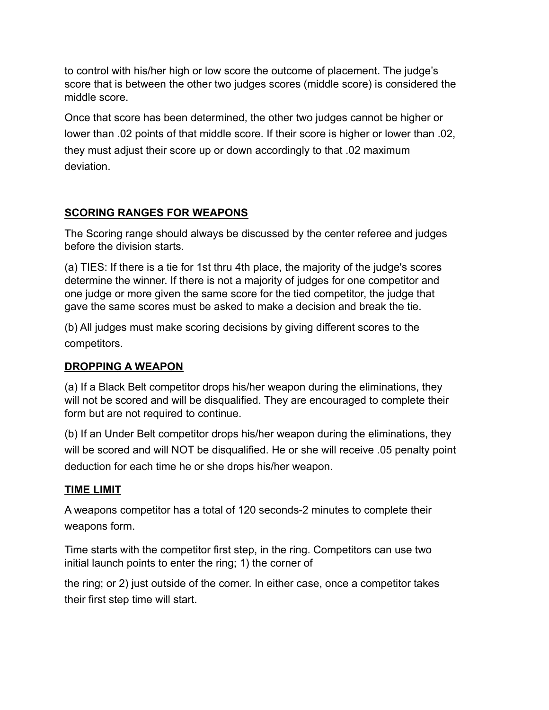to control with his/her high or low score the outcome of placement. The judge's score that is between the other two judges scores (middle score) is considered the middle score.

Once that score has been determined, the other two judges cannot be higher or lower than .02 points of that middle score. If their score is higher or lower than .02, they must adjust their score up or down accordingly to that .02 maximum deviation.

### **SCORING RANGES FOR WEAPONS**

The Scoring range should always be discussed by the center referee and judges before the division starts.

(a) TIES: If there is a tie for 1st thru 4th place, the majority of the judge's scores determine the winner. If there is not a majority of judges for one competitor and one judge or more given the same score for the tied competitor, the judge that gave the same scores must be asked to make a decision and break the tie.

(b) All judges must make scoring decisions by giving different scores to the competitors.

### **DROPPING A WEAPON**

(a) If a Black Belt competitor drops his/her weapon during the eliminations, they will not be scored and will be disqualified. They are encouraged to complete their form but are not required to continue.

(b) If an Under Belt competitor drops his/her weapon during the eliminations, they will be scored and will NOT be disqualified. He or she will receive .05 penalty point deduction for each time he or she drops his/her weapon.

### **TIME LIMIT**

A weapons competitor has a total of 120 seconds-2 minutes to complete their weapons form.

Time starts with the competitor first step, in the ring. Competitors can use two initial launch points to enter the ring; 1) the corner of

the ring; or 2) just outside of the corner. In either case, once a competitor takes their first step time will start.